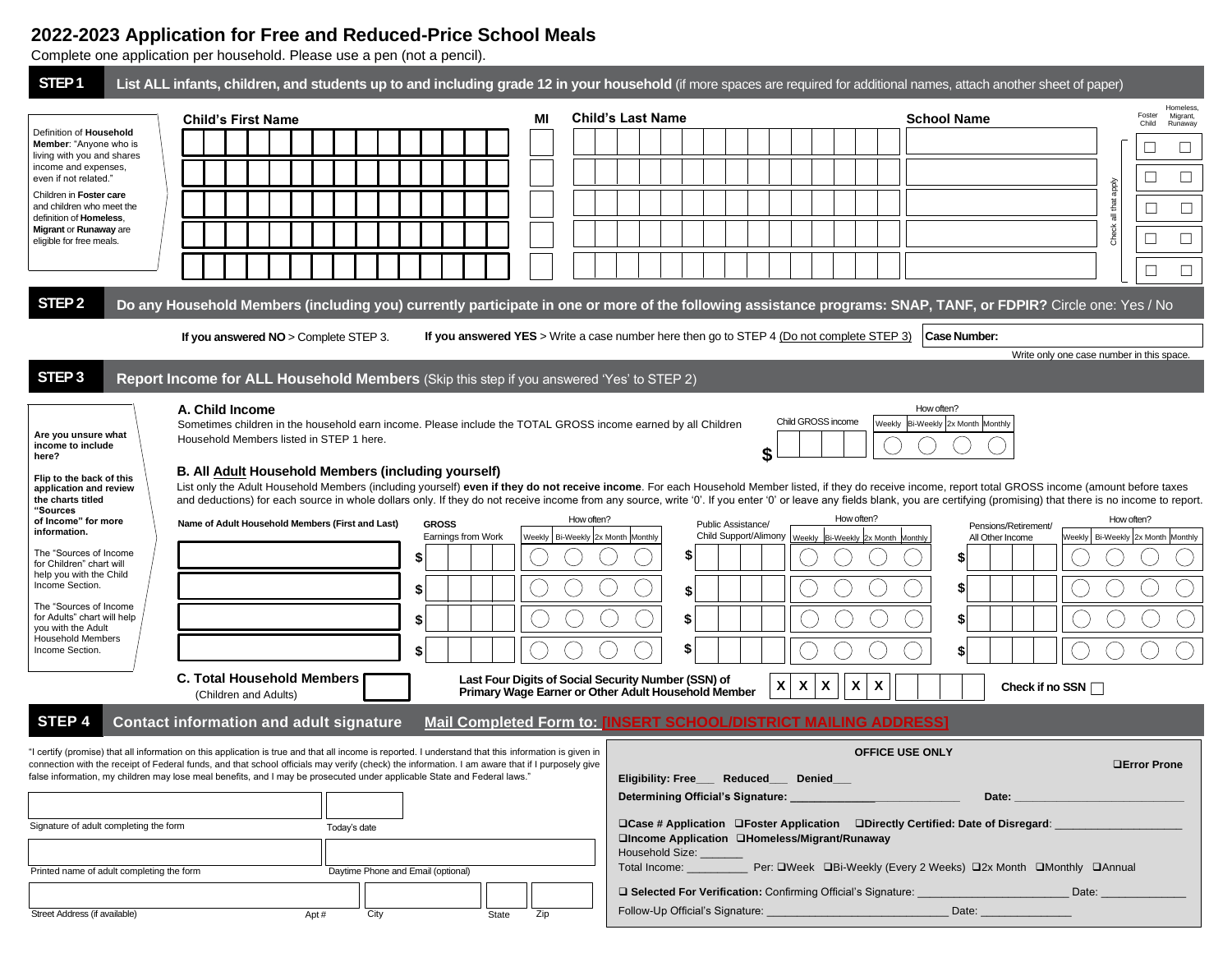# **2022-2023 Application for Free and Reduced-Price School Meals**

Complete one application per household. Please use a pen (not a pencil).

| STEP <sub>1</sub>                                                                                                                                                                                                                                                                                                                                                                                                                                                                              | List ALL infants, children, and students up to and including grade 12 in your household (if more spaces are required for additional names, attach another sheet of paper)                                                                                                                                                                                                                                                                                                                                                                                                                                                                                                                                                                                                                                                                                    |                                                   |                                                                                                                                                                                                                                                                                                                                                                                                              |                                                                                                                                                                          |                                                    |  |  |  |
|------------------------------------------------------------------------------------------------------------------------------------------------------------------------------------------------------------------------------------------------------------------------------------------------------------------------------------------------------------------------------------------------------------------------------------------------------------------------------------------------|--------------------------------------------------------------------------------------------------------------------------------------------------------------------------------------------------------------------------------------------------------------------------------------------------------------------------------------------------------------------------------------------------------------------------------------------------------------------------------------------------------------------------------------------------------------------------------------------------------------------------------------------------------------------------------------------------------------------------------------------------------------------------------------------------------------------------------------------------------------|---------------------------------------------------|--------------------------------------------------------------------------------------------------------------------------------------------------------------------------------------------------------------------------------------------------------------------------------------------------------------------------------------------------------------------------------------------------------------|--------------------------------------------------------------------------------------------------------------------------------------------------------------------------|----------------------------------------------------|--|--|--|
| Definition of Household<br>Member: "Anyone who is<br>living with you and shares<br>income and expenses,<br>even if not related."<br>Children in Foster care<br>and children who meet the<br>definition of Homeless.<br>Migrant or Runaway are<br>eligible for free meals.                                                                                                                                                                                                                      | <b>Child's First Name</b>                                                                                                                                                                                                                                                                                                                                                                                                                                                                                                                                                                                                                                                                                                                                                                                                                                    | МI                                                | <b>Child's Last Name</b>                                                                                                                                                                                                                                                                                                                                                                                     | <b>School Name</b>                                                                                                                                                       | Homeless<br>Foster<br>Migrant,<br>Child<br>Runaway |  |  |  |
|                                                                                                                                                                                                                                                                                                                                                                                                                                                                                                |                                                                                                                                                                                                                                                                                                                                                                                                                                                                                                                                                                                                                                                                                                                                                                                                                                                              |                                                   |                                                                                                                                                                                                                                                                                                                                                                                                              |                                                                                                                                                                          |                                                    |  |  |  |
|                                                                                                                                                                                                                                                                                                                                                                                                                                                                                                |                                                                                                                                                                                                                                                                                                                                                                                                                                                                                                                                                                                                                                                                                                                                                                                                                                                              |                                                   |                                                                                                                                                                                                                                                                                                                                                                                                              |                                                                                                                                                                          | $\Box$                                             |  |  |  |
|                                                                                                                                                                                                                                                                                                                                                                                                                                                                                                |                                                                                                                                                                                                                                                                                                                                                                                                                                                                                                                                                                                                                                                                                                                                                                                                                                                              |                                                   |                                                                                                                                                                                                                                                                                                                                                                                                              |                                                                                                                                                                          | all that apply<br>$\Box$                           |  |  |  |
|                                                                                                                                                                                                                                                                                                                                                                                                                                                                                                |                                                                                                                                                                                                                                                                                                                                                                                                                                                                                                                                                                                                                                                                                                                                                                                                                                                              |                                                   |                                                                                                                                                                                                                                                                                                                                                                                                              |                                                                                                                                                                          | Check<br>$\Box$<br>$\Box$                          |  |  |  |
|                                                                                                                                                                                                                                                                                                                                                                                                                                                                                                |                                                                                                                                                                                                                                                                                                                                                                                                                                                                                                                                                                                                                                                                                                                                                                                                                                                              |                                                   |                                                                                                                                                                                                                                                                                                                                                                                                              |                                                                                                                                                                          |                                                    |  |  |  |
| STEP <sub>2</sub>                                                                                                                                                                                                                                                                                                                                                                                                                                                                              | Do any Household Members (including you) currently participate in one or more of the following assistance programs: SNAP, TANF, or FDPIR? Circle one: Yes / No                                                                                                                                                                                                                                                                                                                                                                                                                                                                                                                                                                                                                                                                                               |                                                   |                                                                                                                                                                                                                                                                                                                                                                                                              |                                                                                                                                                                          |                                                    |  |  |  |
| If you answered YES > Write a case number here then go to STEP 4 (Do not complete STEP 3)<br>Case Number:<br>If you answered $NO >$ Complete STEP 3.                                                                                                                                                                                                                                                                                                                                           |                                                                                                                                                                                                                                                                                                                                                                                                                                                                                                                                                                                                                                                                                                                                                                                                                                                              |                                                   |                                                                                                                                                                                                                                                                                                                                                                                                              |                                                                                                                                                                          |                                                    |  |  |  |
|                                                                                                                                                                                                                                                                                                                                                                                                                                                                                                |                                                                                                                                                                                                                                                                                                                                                                                                                                                                                                                                                                                                                                                                                                                                                                                                                                                              |                                                   |                                                                                                                                                                                                                                                                                                                                                                                                              | Write only one case number in this space.                                                                                                                                |                                                    |  |  |  |
| STEP <sub>3</sub>                                                                                                                                                                                                                                                                                                                                                                                                                                                                              | Report Income for ALL Household Members (Skip this step if you answered 'Yes' to STEP 2)                                                                                                                                                                                                                                                                                                                                                                                                                                                                                                                                                                                                                                                                                                                                                                     |                                                   |                                                                                                                                                                                                                                                                                                                                                                                                              |                                                                                                                                                                          |                                                    |  |  |  |
| Are you unsure what<br>income to include<br>here?<br>Flip to the back of this<br>application and review<br>the charts titled<br>"Sources<br>of Income" for more<br>information.<br>The "Sources of Income<br>for Children" chart will<br>help you with the Child<br>Income Section.<br>The "Sources of Income<br>for Adults" chart will help<br>vou with the Adult<br><b>Household Members</b><br>Income Section.                                                                              | A. Child Income<br>Sometimes children in the household earn income. Please include the TOTAL GROSS income earned by all Children<br>Household Members listed in STEP 1 here.<br>B. All Adult Household Members (including yourself)<br>List only the Adult Household Members (including yourself) even if they do not receive income. For each Household Member listed, if they do receive income, report total GROSS income (amount before taxes<br>and deductions) for each source in whole dollars only. If they do not receive income from any source, write '0'. If you enter '0' or leave any fields blank, you are certifying (promising) that there is no income to report.<br>Name of Adult Household Members (First and Last)<br><b>GROSS</b><br>Earnings from Work<br>\$<br>S<br>\$<br><b>C. Total Household Members</b><br>(Children and Adults) | How often?<br>Weekly   Bi-Weekly 2x Month Monthly | \$<br>Public Assistance/<br>Child Support/Alimony   Weekly   Bi-Weekly 2x Month Monthly<br>\$<br>\$<br>\$<br>\$<br>Last Four Digits of Social Security Number (SSN) of<br>X<br>X<br>Primary Wage Earner or Other Adult Household Member                                                                                                                                                                      | How often?<br>Child GROSS income<br>Weekly Bi-Weekly 2x Month Monthly<br>How often?<br>Pensions/Retirement/<br>All Other Income<br>X<br>X<br>X<br>Check if no SSN $\Box$ | How often?<br>Weekly   Bi-Weekly 2x Month Monthly  |  |  |  |
| STEP <sub>4</sub><br>Mail Completed Form to: [INSERT SCHOOL/DISTRICT MAILING ADDRESS]<br><b>Contact information and adult signature</b>                                                                                                                                                                                                                                                                                                                                                        |                                                                                                                                                                                                                                                                                                                                                                                                                                                                                                                                                                                                                                                                                                                                                                                                                                                              |                                                   |                                                                                                                                                                                                                                                                                                                                                                                                              |                                                                                                                                                                          |                                                    |  |  |  |
| "I certify (promise) that all information on this application is true and that all income is reported. I understand that this information is given in<br>connection with the receipt of Federal funds, and that school officials may verify (check) the information. I am aware that if I purposely give<br>false information, my children may lose meal benefits, and I may be prosecuted under applicable State and Federal laws."<br>Signature of adult completing the form<br>Today's date |                                                                                                                                                                                                                                                                                                                                                                                                                                                                                                                                                                                                                                                                                                                                                                                                                                                              |                                                   | <b>OFFICE USE ONLY</b><br><b>OError Prone</b><br>Eligibility: Free___ Reduced__ Denied__<br>Determining Official's Signature: _________<br>Date:<br>□Case # Application □Foster Application □Directly Certified: Date of Disregard:<br>□Income Application □Homeless/Migrant/Runaway<br>Household Size: ___<br>Total Income: ______________ Per: QWeek QBi-Weekly (Every 2 Weeks) Q2x Month QMonthly QAnnual |                                                                                                                                                                          |                                                    |  |  |  |
| Printed name of adult completing the form                                                                                                                                                                                                                                                                                                                                                                                                                                                      | Daytime Phone and Email (optional)                                                                                                                                                                                                                                                                                                                                                                                                                                                                                                                                                                                                                                                                                                                                                                                                                           |                                                   |                                                                                                                                                                                                                                                                                                                                                                                                              | <b>□ Selected For Verification:</b> Confirming Official's Signature:<br>Date:<br>Date: _________________                                                                 |                                                    |  |  |  |
| City<br>Street Address (if available)<br>Apt#<br>Zip<br>State                                                                                                                                                                                                                                                                                                                                                                                                                                  |                                                                                                                                                                                                                                                                                                                                                                                                                                                                                                                                                                                                                                                                                                                                                                                                                                                              |                                                   |                                                                                                                                                                                                                                                                                                                                                                                                              |                                                                                                                                                                          |                                                    |  |  |  |